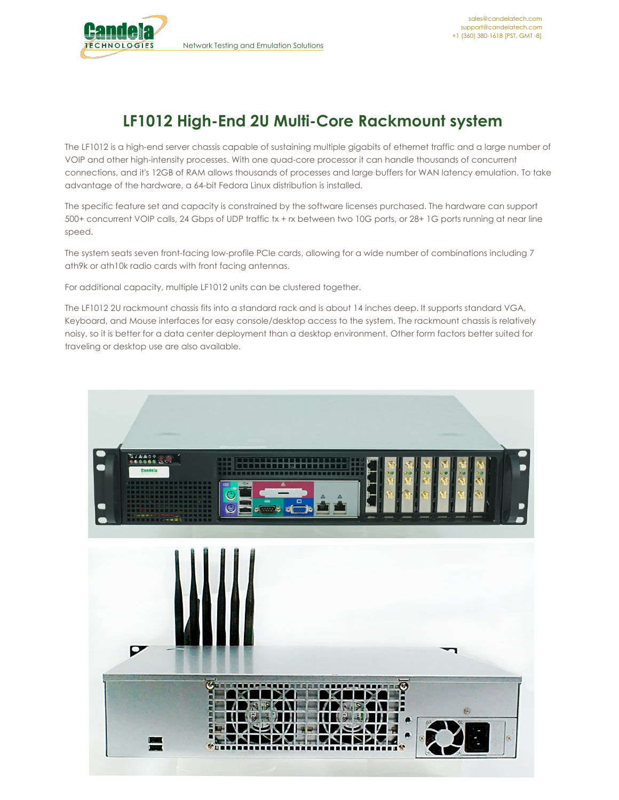

## **LF1012 High-End 2U Multi-Core Rackmount system**

The LF1012 is a high-end server chassis capable of sustaining multiple gigabits of ethernet traffic and a large number of VOIP and other high-intensity processes. With one quad-core processor it can handle thousands of concurrent connections, and it's 12GB of RAM allows thousands of processes and large buffers for WAN latency emulation. To take advantage of the hardware, a 64-bit Fedora Linux distribution is installed.

The specific feature set and capacity is constrained by the software licenses purchased. The hardware can support 500+ concurrent VOIP calls, 24 Gbps of UDP traffic tx + rx between two 10G ports, or 28+ 1G ports running at near line speed.

The system seats seven front-facing low-profile PCIe cards, allowing for a wide number of combinations including 7 ath9k or ath10k radio cards with front facing antennas.

For additional capacity, multiple LF1012 units can be clustered together.

The LF1012 2U rackmount chassis fits into a standard rack and is about 14 inches deep. It supports standard VGA, Keyboard, and Mouse interfaces for easy console/desktop access to the system. The rackmount chassis is relatively noisy, so it is better for a data center deployment than a desktop environment. Other form factors better suited for traveling or desktop use are also available.